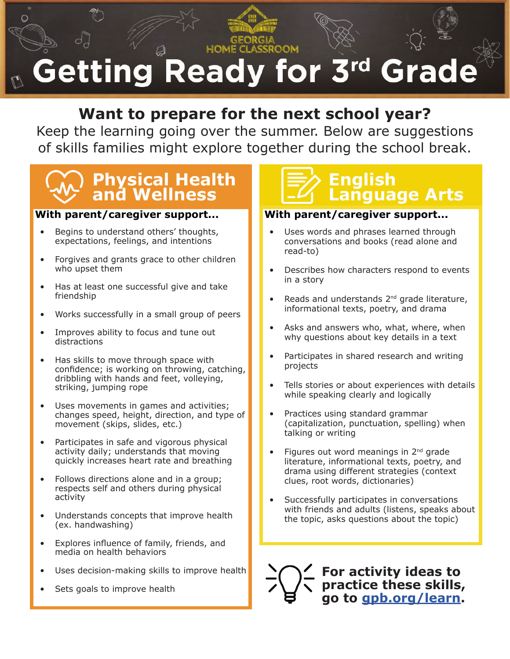### HOM **Getting Ready for 3rd Grade**

### **Want to prepare for the next school year?**

Keep the learning going over the summer. Below are suggestions of skills families might explore together during the school break.

# **Physical Health | E2 English**<br>and Wellness | E2 Languag

#### **With parent/caregiver support...)**

- Begins to understand others' thoughts, expectations, feelings, and intentions
- Forgives and grants grace to other children who upset them
- Has at least one successful give and take friendship
- Works successfully in a small group of peers
- Improves ability to focus and tune out distractions
- Has skills to move through space with confidence; is working on throwing, catching, dribbling with hands and feet, volleying, striking, jumping rope
- Uses movements in games and activities; changes speed, height, direction, and type of movement (skips, slides, etc.)
- Participates in safe and vigorous physical activity daily; understands that moving quickly increases heart rate and breathing
- Follows directions alone and in a group; respects self and others during physical activity
- Understands concepts that improve health (ex. handwashing)
- Explores influence of family, friends, and media on health behaviors
- Uses decision-making skills to improve health
- Sets goals to improve health

# **Language Arts**

#### **With parent/caregiver support...)**

- Uses words and phrases learned through conversations and books (read alone and read-to)
- Describes how characters respond to events in a story
- Reads and understands 2<sup>nd</sup> grade literature, informational texts, poetry, and drama
- Asks and answers who, what, where, when why questions about key details in a text
- Participates in shared research and writing projects
- Tells stories or about experiences with details while speaking clearly and logically
- Practices using standard grammar (capitalization, punctuation, spelling) when talking or writing
- Figures out word meanings in  $2<sup>nd</sup>$  grade literature, informational texts, poetry, and drama using different strategies (context clues, root words, dictionaries)
- Successfully participates in conversations with friends and adults (listens, speaks about the topic, asks questions about the topic)

**For activity ideas to practice these skills, go to [gpb.org/learn](http://gpb.org/learn).**